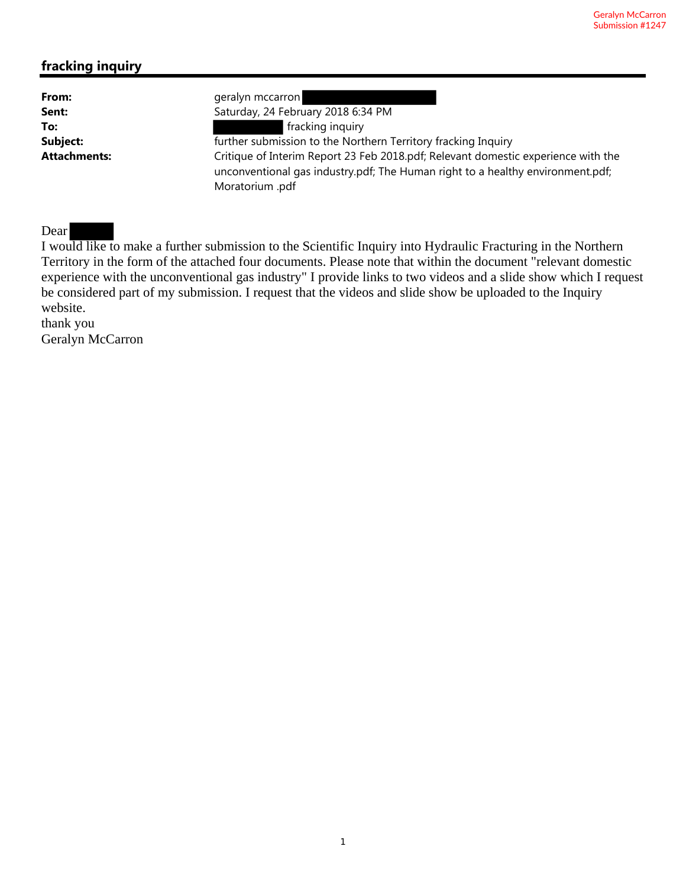# **fracking inquiry**

| From:               | geralyn mccarron                                                                  |
|---------------------|-----------------------------------------------------------------------------------|
| Sent:               | Saturday, 24 February 2018 6:34 PM                                                |
| To:                 | fracking inquiry                                                                  |
| Subject:            | further submission to the Northern Territory fracking Inquiry                     |
| <b>Attachments:</b> | Critique of Interim Report 23 Feb 2018.pdf; Relevant domestic experience with the |
|                     | unconventional gas industry.pdf; The Human right to a healthy environment.pdf;    |
|                     | Moratorium .pdf                                                                   |

## Dear

I would like to make a further submission to the Scientific Inquiry into Hydraulic Fracturing in the Northern Territory in the form of the attached four documents. Please note that within the document "relevant domestic experience with the unconventional gas industry" I provide links to two videos and a slide show which I request be considered part of my submission. I request that the videos and slide show be uploaded to the Inquiry website.

thank you Geralyn McCarron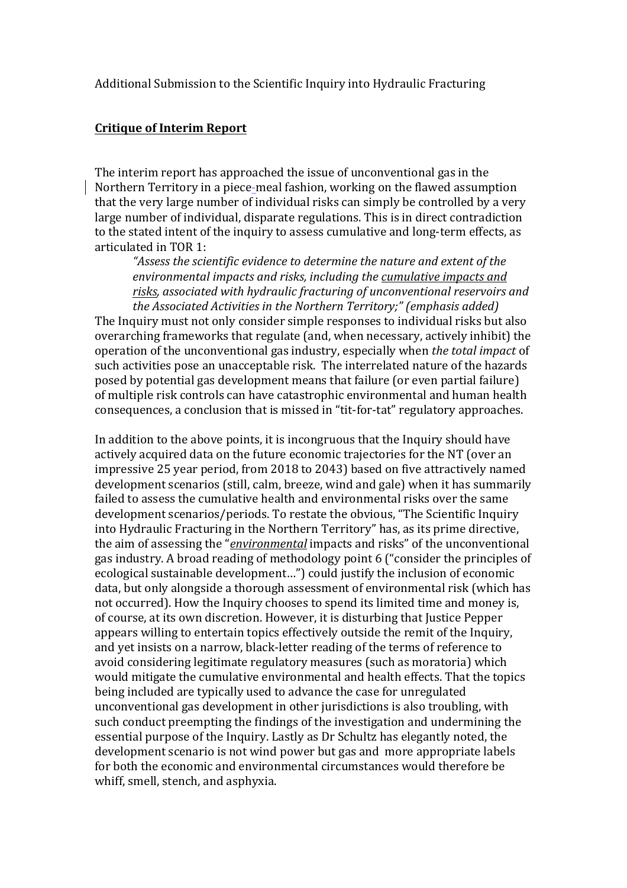#### **Critique of Interim Report**

The interim report has approached the issue of unconventional gas in the Northern Territory in a piece-meal fashion, working on the flawed assumption that the very large number of individual risks can simply be controlled by a very large number of individual, disparate regulations. This is in direct contradiction to the stated intent of the inquiry to assess cumulative and long-term effects, as articulated in TOR 1:

"Assess the scientific evidence to determine the nature and extent of the environmental impacts and risks, including the cumulative impacts and risks, associated with hydraulic fracturing of unconventional reservoirs and *the Associated Activities in the Northern Territory:" (emphasis added)* 

The Inquiry must not only consider simple responses to individual risks but also overarching frameworks that regulate (and, when necessary, actively inhibit) the operation of the unconventional gas industry, especially when *the total impact* of such activities pose an unacceptable risk. The interrelated nature of the hazards posed by potential gas development means that failure (or even partial failure) of multiple risk controls can have catastrophic environmental and human health consequences, a conclusion that is missed in "tit-for-tat" regulatory approaches.

In addition to the above points, it is incongruous that the Inquiry should have actively acquired data on the future economic trajectories for the NT (over an impressive 25 year period, from 2018 to 2043) based on five attractively named development scenarios (still, calm, breeze, wind and gale) when it has summarily failed to assess the cumulative health and environmental risks over the same development scenarios/periods. To restate the obvious, "The Scientific Inquiry into Hydraulic Fracturing in the Northern Territory" has, as its prime directive, the aim of assessing the "*environmental* impacts and risks" of the unconventional gas industry. A broad reading of methodology point 6 ("consider the principles of ecological sustainable development...") could justify the inclusion of economic data, but only alongside a thorough assessment of environmental risk (which has not occurred). How the Inquiry chooses to spend its limited time and money is, of course, at its own discretion. However, it is disturbing that Justice Pepper appears willing to entertain topics effectively outside the remit of the Inquiry, and yet insists on a narrow, black-letter reading of the terms of reference to avoid considering legitimate regulatory measures (such as moratoria) which would mitigate the cumulative environmental and health effects. That the topics being included are typically used to advance the case for unregulated unconventional gas development in other jurisdictions is also troubling, with such conduct preempting the findings of the investigation and undermining the essential purpose of the Inquiry. Lastly as Dr Schultz has elegantly noted, the development scenario is not wind power but gas and more appropriate labels for both the economic and environmental circumstances would therefore be whiff, smell, stench, and asphyxia.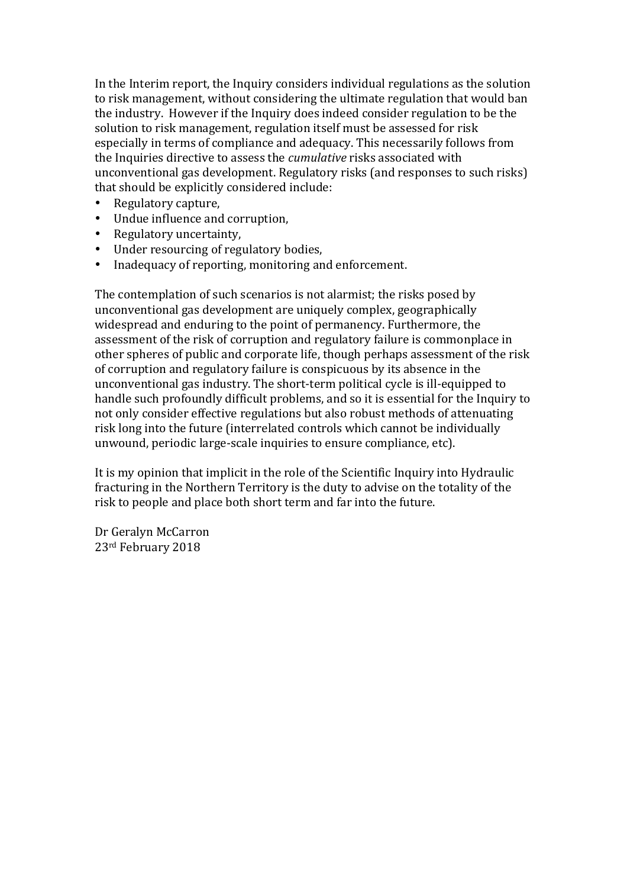In the Interim report, the Inquiry considers individual regulations as the solution to risk management, without considering the ultimate regulation that would ban the industry. However if the Inquiry does indeed consider regulation to be the solution to risk management, regulation itself must be assessed for risk especially in terms of compliance and adequacy. This necessarily follows from the Inquiries directive to assess the *cumulative* risks associated with unconventional gas development. Regulatory risks (and responses to such risks) that should be explicitly considered include:

- Regulatory capture,
- Undue influence and corruption,
- Regulatory uncertainty,
- Under resourcing of regulatory bodies,
- Inadequacy of reporting, monitoring and enforcement.

The contemplation of such scenarios is not alarmist; the risks posed by unconventional gas development are uniquely complex, geographically widespread and enduring to the point of permanency. Furthermore, the assessment of the risk of corruption and regulatory failure is commonplace in other spheres of public and corporate life, though perhaps assessment of the risk of corruption and regulatory failure is conspicuous by its absence in the unconventional gas industry. The short-term political cycle is ill-equipped to handle such profoundly difficult problems, and so it is essential for the Inquiry to not only consider effective regulations but also robust methods of attenuating risk long into the future (interrelated controls which cannot be individually unwound, periodic large-scale inquiries to ensure compliance, etc).

It is my opinion that implicit in the role of the Scientific Inquiry into Hydraulic fracturing in the Northern Territory is the duty to advise on the totality of the risk to people and place both short term and far into the future.

Dr Geralyn McCarron 23<sup>rd</sup> February 2018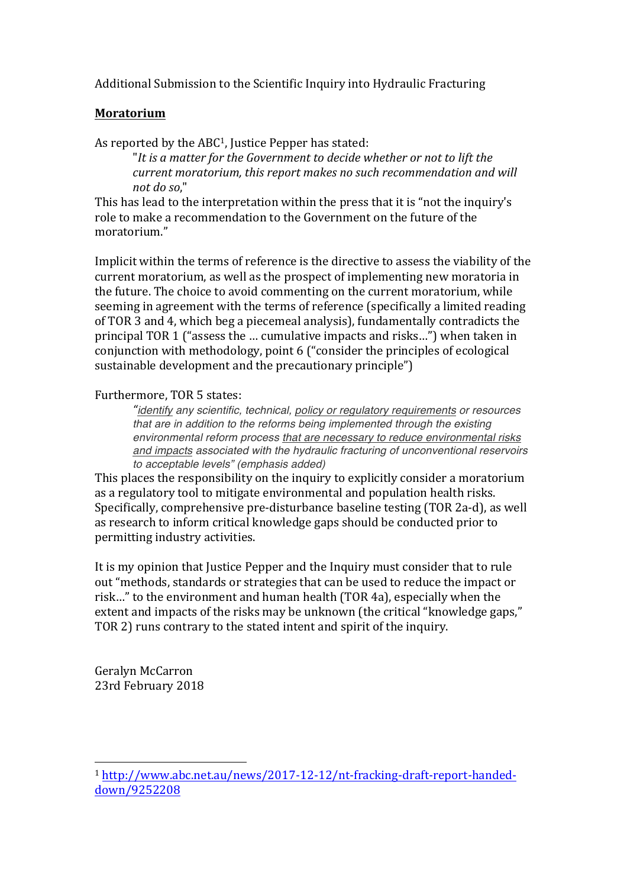## **Moratorium**

As reported by the  $ABC<sup>1</sup>$ , Justice Pepper has stated:

"It is a matter for the Government to decide whether or not to lift the *current moratorium, this report makes no such recommendation and will not do so*," 

This has lead to the interpretation within the press that it is "not the inquiry's role to make a recommendation to the Government on the future of the moratorium."

Implicit within the terms of reference is the directive to assess the viability of the current moratorium, as well as the prospect of implementing new moratoria in the future. The choice to avoid commenting on the current moratorium, while seeming in agreement with the terms of reference (specifically a limited reading of TOR 3 and 4, which beg a piecemeal analysis), fundamentally contradicts the principal TOR 1 ("assess the ... cumulative impacts and risks...") when taken in conjunction with methodology, point 6 ("consider the principles of ecological sustainable development and the precautionary principle")

## Furthermore, TOR 5 states:

*"identify any scientific, technical, policy or regulatory requirements or resources that are in addition to the reforms being implemented through the existing environmental reform process that are necessary to reduce environmental risks and impacts associated with the hydraulic fracturing of unconventional reservoirs to acceptable levels" (emphasis added)*

This places the responsibility on the inquiry to explicitly consider a moratorium as a regulatory tool to mitigate environmental and population health risks. Specifically, comprehensive pre-disturbance baseline testing (TOR 2a-d), as well as research to inform critical knowledge gaps should be conducted prior to permitting industry activities.

It is my opinion that Justice Pepper and the Inquiry must consider that to rule out "methods, standards or strategies that can be used to reduce the impact or risk..." to the environment and human health (TOR 4a), especially when the extent and impacts of the risks may be unknown (the critical "knowledge gaps," TOR 2) runs contrary to the stated intent and spirit of the inquiry.

Geralyn McCarron 23rd February 2018

 

<sup>1</sup> http://www.abc.net.au/news/2017-12-12/nt-fracking-draft-report-handeddown/9252208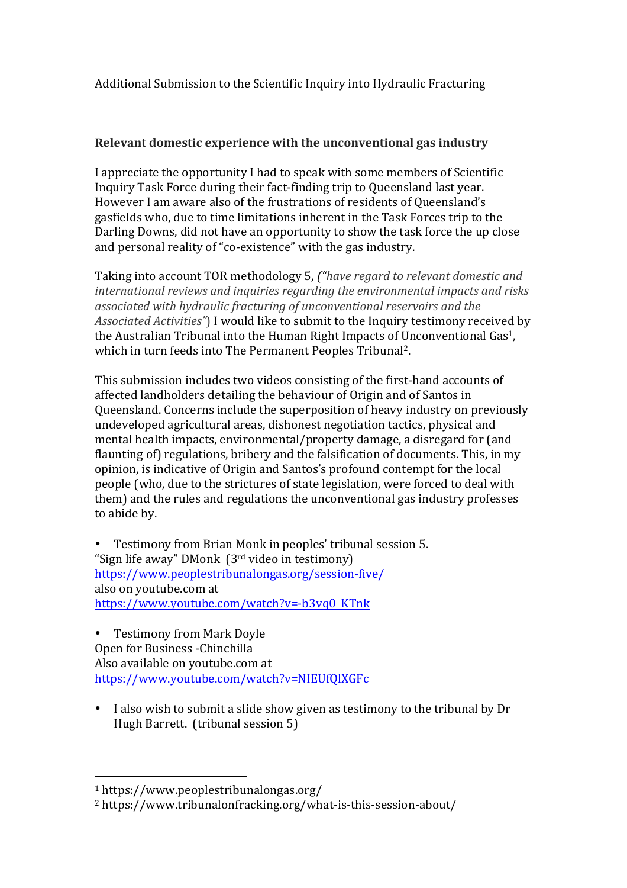# **Relevant domestic experience with the unconventional gas industry**

I appreciate the opportunity I had to speak with some members of Scientific Inquiry Task Force during their fact-finding trip to Queensland last year. However I am aware also of the frustrations of residents of Queensland's gasfields who, due to time limitations inherent in the Task Forces trip to the Darling Downs, did not have an opportunity to show the task force the up close and personal reality of "co-existence" with the gas industry.

Taking into account TOR methodology 5, ("have regard to relevant domestic and *international reviews and inquiries regarding the environmental impacts and risks* associated with hydraulic fracturing of unconventional reservoirs and the Associated Activities<sup>"</sup>) I would like to submit to the Inquiry testimony received by the Australian Tribunal into the Human Right Impacts of Unconventional Gas<sup>1</sup>, which in turn feeds into The Permanent Peoples Tribunal<sup>2</sup>.

This submission includes two videos consisting of the first-hand accounts of affected landholders detailing the behaviour of Origin and of Santos in Queensland. Concerns include the superposition of heavy industry on previously undeveloped agricultural areas, dishonest negotiation tactics, physical and mental health impacts, environmental/property damage, a disregard for (and flaunting of) regulations, bribery and the falsification of documents. This, in my opinion, is indicative of Origin and Santos's profound contempt for the local people (who, due to the strictures of state legislation, were forced to deal with them) and the rules and regulations the unconventional gas industry professes to abide by.

Testimony from Brian Monk in peoples' tribunal session 5. "Sign life away"  $DMonk$  ( $3<sup>rd</sup>$  video in testimony) https://www.peoplestribunalongas.org/session-five/ also on youtube.com at https://www.youtube.com/watch?v=-b3vq0 KTnk

• Testimony from Mark Doyle Open for Business -Chinchilla Also available on voutube.com at https://www.youtube.com/watch?v=NIEUfQlXGFc

• I also wish to submit a slide show given as testimony to the tribunal by Dr Hugh Barrett. (tribunal session 5)

 

<sup>1</sup> https://www.peoplestribunalongas.org/

<sup>2</sup> https://www.tribunalonfracking.org/what-is-this-session-about/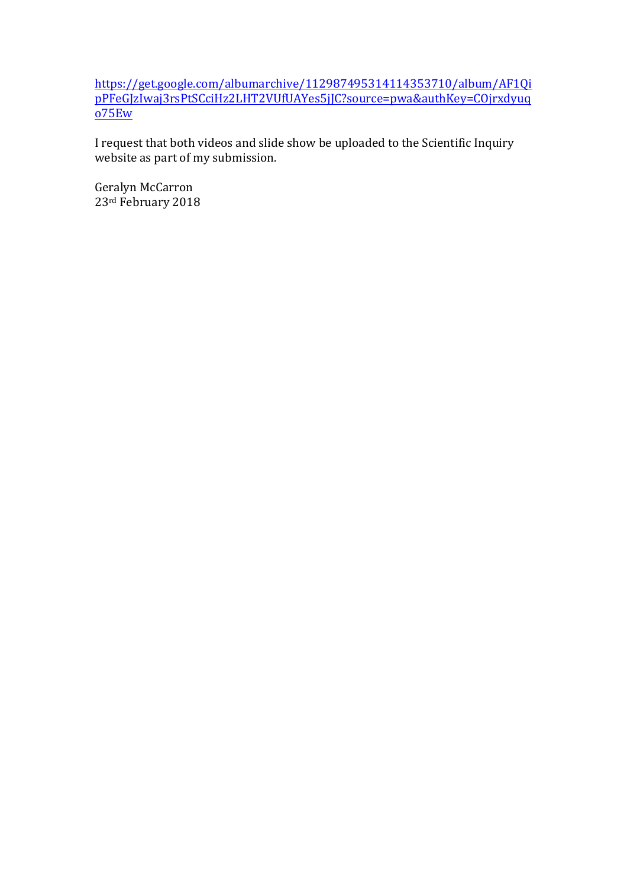https://get.google.com/albumarchive/112987495314114353710/album/AF1Qi pPFeGJzIwaj3rsPtSCciHz2LHT2VUfUAYes5jJC?source=pwa&authKey=COjrxdyuq o75Ew

I request that both videos and slide show be uploaded to the Scientific Inquiry website as part of my submission.

Geralyn McCarron 23rd February 2018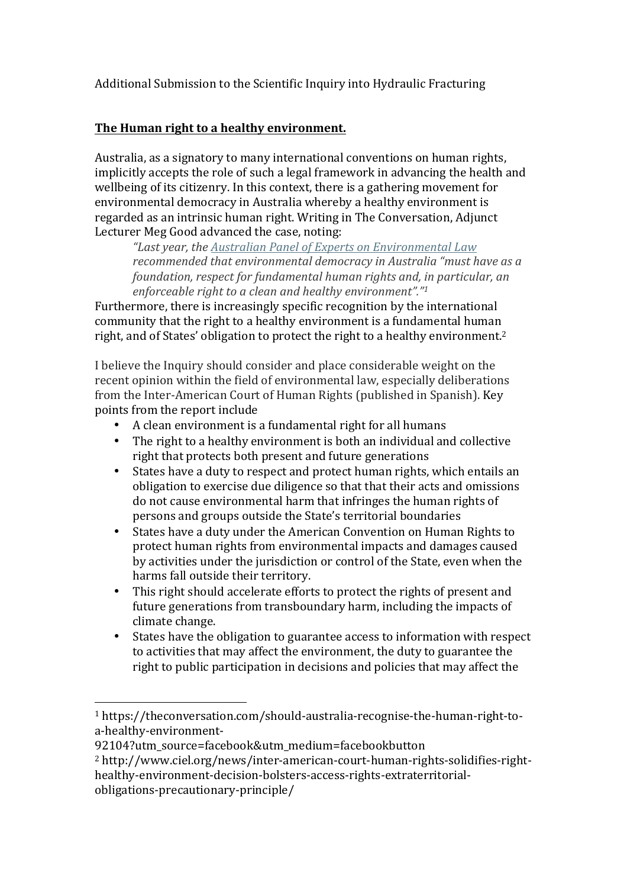# The Human right to a healthy environment.

Australia, as a signatory to many international conventions on human rights, implicitly accepts the role of such a legal framework in advancing the health and wellbeing of its citizenry. In this context, there is a gathering movement for environmental democracy in Australia whereby a healthy environment is regarded as an intrinsic human right. Writing in The Conversation, Adjunct Lecturer Meg Good advanced the case, noting:

*"Last year, the Australian Panel of Experts on Environmental Law* recommended that environmental democracy in Australia "must have as a *foundation, respect for fundamental human rights and, in particular, an enforceable right to a clean and healthy environment"."1* 

Furthermore, there is increasingly specific recognition by the international community that the right to a healthy environment is a fundamental human right, and of States' obligation to protect the right to a healthy environment.<sup>2</sup>

I believe the Inquiry should consider and place considerable weight on the recent opinion within the field of environmental law, especially deliberations from the Inter-American Court of Human Rights (published in Spanish). Key points from the report include

- A clean environment is a fundamental right for all humans
- The right to a healthy environment is both an individual and collective right that protects both present and future generations
- States have a duty to respect and protect human rights, which entails an obligation to exercise due diligence so that that their acts and omissions do not cause environmental harm that infringes the human rights of persons and groups outside the State's territorial boundaries
- States have a duty under the American Convention on Human Rights to protect human rights from environmental impacts and damages caused by activities under the jurisdiction or control of the State, even when the harms fall outside their territory.
- This right should accelerate efforts to protect the rights of present and future generations from transboundary harm, including the impacts of climate change.
- States have the obligation to guarantee access to information with respect to activities that may affect the environment, the duty to guarantee the right to public participation in decisions and policies that may affect the

 

<sup>1</sup> https://theconversation.com/should-australia-recognise-the-human-right-toa-healthy-environment-

<sup>92104?</sup>utm\_source=facebook&utm\_medium=facebookbutton

<sup>2</sup> http://www.ciel.org/news/inter-american-court-human-rights-solidifies-righthealthy-environment-decision-bolsters-access-rights-extraterritorialobligations-precautionary-principle/